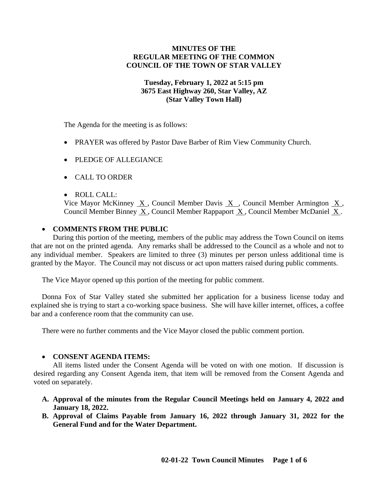# **MINUTES OF THE REGULAR MEETING OF THE COMMON COUNCIL OF THE TOWN OF STAR VALLEY**

### **Tuesday, February 1, 2022 at 5:15 pm 3675 East Highway 260, Star Valley, AZ (Star Valley Town Hall)**

The Agenda for the meeting is as follows:

- PRAYER was offered by Pastor Dave Barber of Rim View Community Church.
- PLEDGE OF ALLEGIANCE
- CALL TO ORDER
- ROLL CALL:

Vice Mayor McKinney X , Council Member Davis X , Council Member Armington X , Council Member Binney  $\underline{X}$ , Council Member Rappaport  $\underline{X}$ , Council Member McDaniel X.

# • **COMMENTS FROM THE PUBLIC**

During this portion of the meeting, members of the public may address the Town Council on items that are not on the printed agenda. Any remarks shall be addressed to the Council as a whole and not to any individual member. Speakers are limited to three (3) minutes per person unless additional time is granted by the Mayor. The Council may not discuss or act upon matters raised during public comments.

The Vice Mayor opened up this portion of the meeting for public comment.

Donna Fox of Star Valley stated she submitted her application for a business license today and explained she is trying to start a co-working space business. She will have killer internet, offices, a coffee bar and a conference room that the community can use.

There were no further comments and the Vice Mayor closed the public comment portion.

# • **CONSENT AGENDA ITEMS:**

All items listed under the Consent Agenda will be voted on with one motion. If discussion is desired regarding any Consent Agenda item, that item will be removed from the Consent Agenda and voted on separately.

- **A. Approval of the minutes from the Regular Council Meetings held on January 4, 2022 and January 18, 2022.**
- **B. Approval of Claims Payable from January 16, 2022 through January 31, 2022 for the General Fund and for the Water Department.**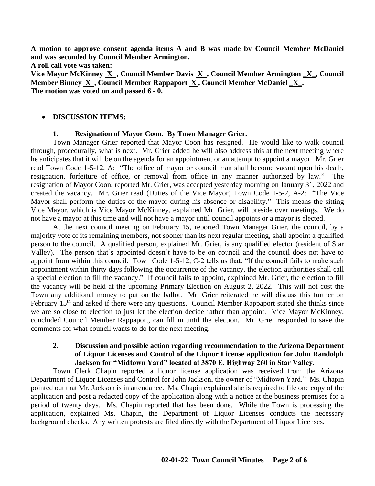**A motion to approve consent agenda items A and B was made by Council Member McDaniel and was seconded by Council Member Armington.**

**A roll call vote was taken:**

**Vice Mayor McKinney X , Council Member Davis X , Council Member Armington \_X\_, Council Member Binney X , Council Member Rappaport X , Council Member McDaniel \_X\_. The motion was voted on and passed 6 - 0.**

#### • **DISCUSSION ITEMS:**

### **1. Resignation of Mayor Coon. By Town Manager Grier.**

Town Manager Grier reported that Mayor Coon has resigned. He would like to walk council through, procedurally, what is next. Mr. Grier added he will also address this at the next meeting where he anticipates that it will be on the agenda for an appointment or an attempt to appoint a mayor. Mr. Grier read Town Code 1-5-12, A: "The office of mayor or council man shall become vacant upon his death, resignation, forfeiture of office, or removal from office in any manner authorized by law." The resignation of Mayor Coon, reported Mr. Grier, was accepted yesterday morning on January 31, 2022 and created the vacancy. Mr. Grier read (Duties of the Vice Mayor) Town Code 1-5-2, A-2: "The Vice Mayor shall perform the duties of the mayor during his absence or disability." This means the sitting Vice Mayor, which is Vice Mayor McKinney, explained Mr. Grier, will preside over meetings. We do not have a mayor at this time and will not have a mayor until council appoints or a mayor is elected.

At the next council meeting on February 15, reported Town Manager Grier, the council, by a majority vote of its remaining members, not sooner than its next regular meeting, shall appoint a qualified person to the council. A qualified person, explained Mr. Grier, is any qualified elector (resident of Star Valley). The person that's appointed doesn't have to be on council and the council does not have to appoint from within this council. Town Code 1-5-12, C-2 tells us that: "If the council fails to make such appointment within thirty days following the occurrence of the vacancy, the election authorities shall call a special election to fill the vacancy." If council fails to appoint, explained Mr. Grier, the election to fill the vacancy will be held at the upcoming Primary Election on August 2, 2022. This will not cost the Town any additional money to put on the ballot. Mr. Grier reiterated he will discuss this further on February 15<sup>th</sup> and asked if there were any questions. Council Member Rappaport stated she thinks since we are so close to election to just let the election decide rather than appoint. Vice Mayor McKinney, concluded Council Member Rappaport, can fill in until the election. Mr. Grier responded to save the comments for what council wants to do for the next meeting.

### **2. Discussion and possible action regarding recommendation to the Arizona Department of Liquor Licenses and Control of the Liquor License application for John Randolph Jackson for "Midtown Yard" located at 3870 E. Highway 260 in Star Valley.**

Town Clerk Chapin reported a liquor license application was received from the Arizona Department of Liquor Licenses and Control for John Jackson, the owner of "Midtown Yard." Ms. Chapin pointed out that Mr. Jackson is in attendance. Ms. Chapin explained she is required to file one copy of the application and post a redacted copy of the application along with a notice at the business premises for a period of twenty days. Ms. Chapin reported that has been done. While the Town is processing the application, explained Ms. Chapin, the Department of Liquor Licenses conducts the necessary background checks. Any written protests are filed directly with the Department of Liquor Licenses.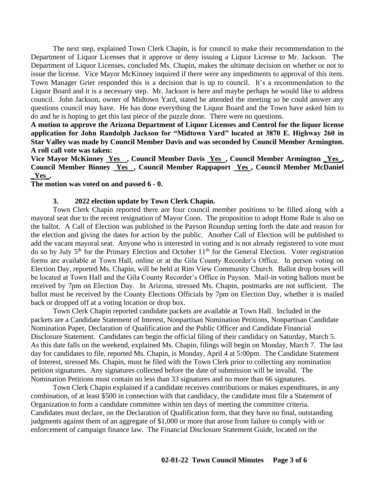The next step, explained Town Clerk Chapin, is for council to make their recommendation to the Department of Liquor Licenses that it approve or deny issuing a Liquor License to Mr. Jackson. The Department of Liquor Licenses, concluded Ms. Chapin, makes the ultimate decision on whether or not to issue the license. Vice Mayor McKinney inquired if there were any impediments to approval of this item. Town Manager Grier responded this is a decision that is up to council. It's a recommendation to the Liquor Board and it is a necessary step. Mr. Jackson is here and maybe perhaps he would like to address council. John Jackson, owner of Midtown Yard, stated he attended the meeting so he could answer any questions council may have. He has done everything the Liquor Board and the Town have asked him to do and he is hoping to get this last piece of the puzzle done. There were no questions.

**A motion to approve the Arizona Department of Liquor Licenses and Control for the liquor license application for John Randolph Jackson for "Midtown Yard" located at 3870 E. Highway 260 in Star Valley was made by Council Member Davis and was seconded by Council Member Armington. A roll call vote was taken:**

**Vice Mayor McKinney Yes , Council Member Davis Yes , Council Member Armington \_Yes\_, Council Member Binney Yes , Council Member Rappaport Yes , Council Member McDaniel \_Yes\_.**

#### **The motion was voted on and passed 6 - 0.**

#### **3. 2022 election update by Town Clerk Chapin.**

Town Clerk Chapin reported there are four council member positions to be filled along with a mayoral seat due to the recent resignation of Mayor Coon. The proposition to adopt Home Rule is also on the ballot. A Call of Election was published in the Payson Roundup setting forth the date and reason for the election and giving the dates for action by the public. Another Call of Election will be published to add the vacant mayoral seat. Anyone who is interested in voting and is not already registered to vote must do so by July 5<sup>th</sup> for the Primary Election and October 11<sup>th</sup> for the General Election. Voter registration forms are available at Town Hall, online or at the Gila County Recorder's Office. In person voting on Election Day, reported Ms. Chapin, will be held at Rim View Community Church. Ballot drop boxes will be located at Town Hall and the Gila County Recorder's Office in Payson. Mail-in voting ballots must be received by 7pm on Election Day. In Arizona, stressed Ms. Chapin, postmarks are not sufficient. The ballot must be received by the County Elections Officials by 7pm on Election Day, whether it is mailed back or dropped off at a voting location or drop box.

Town Clerk Chapin reported candidate packets are available at Town Hall. Included in the packets are a Candidate Statement of Interest, Nonpartisan Nomination Petitions, Nonpartisan Candidate Nomination Paper, Declaration of Qualification and the Public Officer and Candidate Financial Disclosure Statement. Candidates can begin the official filing of their candidacy on Saturday, March 5. As this date falls on the weekend, explained Ms. Chapin, filings will begin on Monday, March 7. The last day for candidates to file, reported Ms. Chapin, is Monday, April 4 at 5:00pm. The Candidate Statement of Interest, stressed Ms. Chapin, must be filed with the Town Clerk prior to collecting any nomination petition signatures. Any signatures collected before the date of submission will be invalid. The Nomination Petitions must contain no less than 33 signatures and no more than 66 signatures.

Town Clerk Chapin explained if a candidate receives contributions or makes expenditures, in any combination, of at least \$500 in connection with that candidacy, the candidate must file a Statement of Organization to form a candidate committee within ten days of meeting the committee criteria. Candidates must declare, on the Declaration of Qualification form, that they have no final, outstanding judgments against them of an aggregate of \$1,000 or more that arose from failure to comply with or enforcement of campaign finance law. The Financial Disclosure Statement Guide, located on the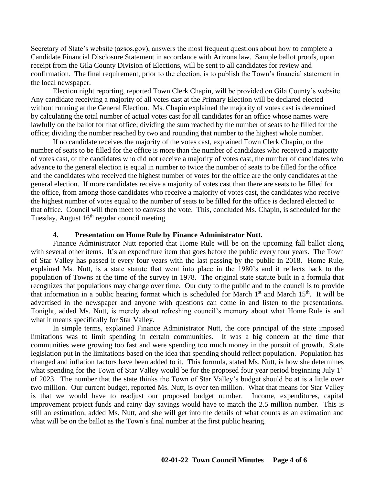Secretary of State's website (azsos.gov), answers the most frequent questions about how to complete a Candidate Financial Disclosure Statement in accordance with Arizona law. Sample ballot proofs, upon receipt from the Gila County Division of Elections, will be sent to all candidates for review and confirmation. The final requirement, prior to the election, is to publish the Town's financial statement in the local newspaper.

Election night reporting, reported Town Clerk Chapin, will be provided on Gila County's website. Any candidate receiving a majority of all votes cast at the Primary Election will be declared elected without running at the General Election. Ms. Chapin explained the majority of votes cast is determined by calculating the total number of actual votes cast for all candidates for an office whose names were lawfully on the ballot for that office; dividing the sum reached by the number of seats to be filled for the office; dividing the number reached by two and rounding that number to the highest whole number.

If no candidate receives the majority of the votes cast, explained Town Clerk Chapin, or the number of seats to be filled for the office is more than the number of candidates who received a majority of votes cast, of the candidates who did not receive a majority of votes cast, the number of candidates who advance to the general election is equal in number to twice the number of seats to be filled for the office and the candidates who received the highest number of votes for the office are the only candidates at the general election. If more candidates receive a majority of votes cast than there are seats to be filled for the office, from among those candidates who receive a majority of votes cast, the candidates who receive the highest number of votes equal to the number of seats to be filled for the office is declared elected to that office. Council will then meet to canvass the vote. This, concluded Ms. Chapin, is scheduled for the Tuesday, August  $16<sup>th</sup>$  regular council meeting.

#### **4. Presentation on Home Rule by Finance Administrator Nutt.**

Finance Administrator Nutt reported that Home Rule will be on the upcoming fall ballot along with several other items. It's an expenditure item that goes before the public every four years. The Town of Star Valley has passed it every four years with the last passing by the public in 2018. Home Rule, explained Ms. Nutt, is a state statute that went into place in the 1980's and it reflects back to the population of Towns at the time of the survey in 1978. The original state statute built in a formula that recognizes that populations may change over time. Our duty to the public and to the council is to provide that information in a public hearing format which is scheduled for March  $1<sup>st</sup>$  and March  $15<sup>th</sup>$ . It will be advertised in the newspaper and anyone with questions can come in and listen to the presentations. Tonight, added Ms. Nutt, is merely about refreshing council's memory about what Home Rule is and what it means specifically for Star Valley.

In simple terms, explained Finance Administrator Nutt, the core principal of the state imposed limitations was to limit spending in certain communities. It was a big concern at the time that communities were growing too fast and were spending too much money in the pursuit of growth. State legislation put in the limitations based on the idea that spending should reflect population. Population has changed and inflation factors have been added to it. This formula, stated Ms. Nutt, is how she determines what spending for the Town of Star Valley would be for the proposed four year period beginning July 1<sup>st</sup> of 2023. The number that the state thinks the Town of Star Valley's budget should be at is a little over two million. Our current budget, reported Ms. Nutt, is over ten million. What that means for Star Valley is that we would have to readjust our proposed budget number. Income, expenditures, capital improvement project funds and rainy day savings would have to match the 2.5 million number. This is still an estimation, added Ms. Nutt, and she will get into the details of what counts as an estimation and what will be on the ballot as the Town's final number at the first public hearing.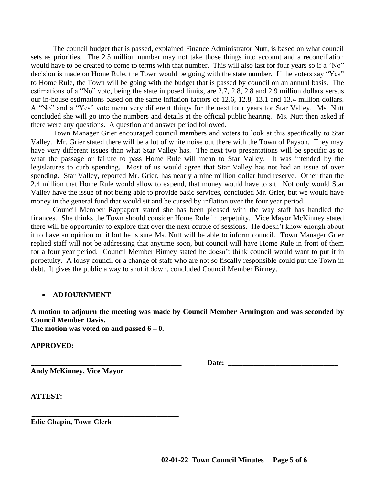The council budget that is passed, explained Finance Administrator Nutt, is based on what council sets as priorities. The 2.5 million number may not take those things into account and a reconciliation would have to be created to come to terms with that number. This will also last for four years so if a "No" decision is made on Home Rule, the Town would be going with the state number. If the voters say "Yes" to Home Rule, the Town will be going with the budget that is passed by council on an annual basis. The estimations of a "No" vote, being the state imposed limits, are 2.7, 2.8, 2.8 and 2.9 million dollars versus our in-house estimations based on the same inflation factors of 12.6, 12.8, 13.1 and 13.4 million dollars. A "No" and a "Yes" vote mean very different things for the next four years for Star Valley. Ms. Nutt concluded she will go into the numbers and details at the official public hearing. Ms. Nutt then asked if there were any questions. A question and answer period followed.

Town Manager Grier encouraged council members and voters to look at this specifically to Star Valley. Mr. Grier stated there will be a lot of white noise out there with the Town of Payson. They may have very different issues than what Star Valley has. The next two presentations will be specific as to what the passage or failure to pass Home Rule will mean to Star Valley. It was intended by the legislatures to curb spending. Most of us would agree that Star Valley has not had an issue of over spending. Star Valley, reported Mr. Grier, has nearly a nine million dollar fund reserve. Other than the 2.4 million that Home Rule would allow to expend, that money would have to sit. Not only would Star Valley have the issue of not being able to provide basic services, concluded Mr. Grier, but we would have money in the general fund that would sit and be cursed by inflation over the four year period.

Council Member Rappaport stated she has been pleased with the way staff has handled the finances. She thinks the Town should consider Home Rule in perpetuity. Vice Mayor McKinney stated there will be opportunity to explore that over the next couple of sessions. He doesn't know enough about it to have an opinion on it but he is sure Ms. Nutt will be able to inform council. Town Manager Grier replied staff will not be addressing that anytime soon, but council will have Home Rule in front of them for a four year period. Council Member Binney stated he doesn't think council would want to put it in perpetuity. A lousy council or a change of staff who are not so fiscally responsible could put the Town in debt. It gives the public a way to shut it down, concluded Council Member Binney.

# • **ADJOURNMENT**

**A motion to adjourn the meeting was made by Council Member Armington and was seconded by Council Member Davis.**

**The motion was voted on and passed 6 – 0.**

 **\_\_\_\_\_\_\_\_\_\_\_\_\_\_\_\_\_\_\_\_\_\_\_\_\_\_\_\_\_\_\_\_\_\_\_\_\_\_\_\_** 

**APPROVED:**

**Andy McKinney, Vice Mayor**

**\_\_\_\_\_\_\_\_\_\_\_\_\_\_\_\_\_\_\_\_\_\_\_\_\_\_\_\_\_\_\_\_\_\_\_\_\_\_\_\_\_ Date: \_\_\_\_\_\_\_\_\_\_\_\_\_\_\_\_\_\_\_\_\_\_\_\_\_\_\_\_\_\_** 

**ATTEST:**

**Edie Chapin, Town Clerk**